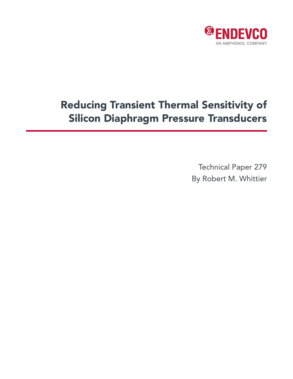

# Reducing Transient Thermal Sensitivity of Silicon Diaphragm Pressure Transducers

Technical Paper 279 By Robert M. Whittier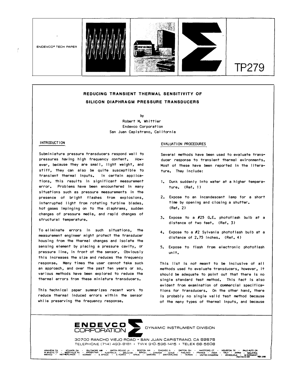

# **REDUCING TRANSIENT THERMAL SENSITIVITY OF SILICON DIAPHRAGM PRESSURE TRANSDUCERS**

**by Robert M. Whittier Endevco Corporation San Juan Capistrano, California** 

#### **INTRODUCTION**

 $\tilde{f}$ 

**Subminlature pressure transducers respond well to**  pressures having high frequency content. However, because they are small, light weight, and **stiff, they can also be quite susceptible to**  transient thermal inputs. In certain applica**tions, this results In significant measurement**  error. Problems have been encountered in many **s ltuations such as pressure measurements in the presence of bright flashes from explosions,**  Interrupted light from rotating turbine blades, hot gases impinging on to the diaphrams, sudden changes of pressure media, and rapid changes of **structural temperature.** 

**To eliminate errors In such situations, the measurement engineer might protect the transducer**  housing from the thermal changes and isolate the **sensing element by placing a pressure cavity, or**  pressure line, in front of the sensor. Obviously **this increases the size and reduces the frequency**  response. Many times the user cannot take such **an approach, and over the past ten years or so,**  various methods have been explored to reduce the **thermal errors from these miniature transducers.** 

This technical paper summarizes recent work to **reduce thermal Induced errors within the sensor while preserving the frequency response.** 

#### **EVALUATION PROCEDURES**

**Several methods have been used to evaluate transducer response to transient thermal evlronments.**  Most of these have been reported in the litera**ture. They Include:** 

- **t. Dunk suddenly Into water at a higher temperature. (Ref. 1)**
- **2. Expose to an Incandescent lamp for a short time by opening and closing a shutter. (Ref. 2)**
- 3. Expose to a #25 G.E. photofiash buib at a **distance of two feet. (Ref. 3)**
- **4. Expose to a #2 Sylvania phototlash bulb at a distance of 2.75 Inches. (Ref. 4)**
- **5. Expose to flash from electronic phototlash unit.**

This IIst is not meant to be inclusive of aii **methods used to evaluate transducers, however, it shou Id be adequate to po Int out that there Is no single standard test method. This tact is also evident from examination of commercial specifications for transducers. On the other hand, there Is probab I** *y* **no s Ing I e va I Id test method because of the many types of thermal Inputs, and because** 



**DYNAMIC INSTRUMENT DIVISION** 

**30700 RANCHO VIEJO ROAD • SAN JUAN CAPISTRANO, CA 92875 TELEPHONE (714) 493-8181 • TWX 910-596-1415 • TELEX 68-5608** 

ANAHEM.CA • ATLANTA.GA • BALTMOREMUD • BATON ROUGE.LA • BOSTON.MA • CHICAGO.LL • DANTON, THORTFORD, CT • MOLOMOROLAT • PALOMOROLAT • PALOMORA<br>WIMYSTIC.CT • WESTVILLE.NJ • ARGENTINA • AUSTRALIA • BELGIUM • BRAZIL • CANADA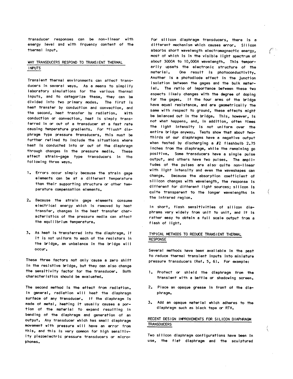transducer responses can be non-linear with energy level and with frquency content of the thermal input.

#### WHY TRANSDUCERS RESPOND TO TRANSIENT THERMAL **INPUTS**

Transient thermal environments can affect transducers in several ways. As a means to simplify laboratory simulations for the various thermal inputs, and to catagorize these, they can be divided into two primary modes. The first is heat transfer by conduction and convection, and the second, heat transfer by radiation. With conduction or convection, heat is simply transferred in or out of a transducer at a fast rate causing temperature gradients. For "flush" diaphragm type pressure transducers, this must be further refined to include the situations where heat is conducted into or out of the diaphragm through changes in the pressure media. These affect strain-gage type transducers in the following three ways.

- 1. Errors occur simply because the strain gage elements can be at a different temperature than their supporting structure or other temperature compensation elements.
- 2. Because the strain gage elements consume electrical energy which is removed by heat transfer, changes in the heat transfer characteristics of the pressure media can affect the equilibrium temperature.
- 3. As heat is transferred into the diaphragm, if it is not uniform to each of the resistors in the bridge, an unbalance in the bridge will occur.

These three factors not only cause a zero shift in the resistive bridge, but they can also change the sensitivity factor for the transducer. Both characteristics should be evaluated.

The second method is the effect from radiation. In general, radiation will heat the diaphragm surface of any transducer. If the diaphragm is made of metal, heating it usually causes a portion of the material to expand resulting in bending of the diaphragm and generation of an output. Any transducer which has small diaphragm movement with pressure will have an error from this, and this is very common for high sensitivity piezoelectric pressure transducers or microphones.

For silicon diaphragm transducers, there is a different mechanism which causes error. Silicon absorbs short wavelength electromagnectic energy, most of which is in the visible light spectrum of about 3000A to 10,000A wavelength. This temporarily upsets the electronic structure of the One result is photoconductivity. material. Another is a photodiode effect in the junction isolation between the gages and the bulk material. The ratio of importance between these two aspects likely changes with the degree of doping for the gages. If the four arms of the bridge have equal resistance, and are geometrically the same with respect to ground, these effects might be balanced out in the bridge. This, however, is not what happens, and, in addition, often times the light intensity is not uniform over the entire bridge anyway. Tests show that about twothirds of our diaphragms have a negative output when tested by discharging a #2 flashbulb 2.75 inches from the diaphragm, while the remaining go positive. Some transducers have a single pulse output, and others have two pulses. The amplitudes of the pulses are also quite non-linear with light intensity and even the waveshapes can change. Because the absorption coefficient of silicon changes with wavelength, the response is different for different light sources; silicon is quite transparent to the longer wavelengths in the infrared region.

In short, flash sensitivities of silicon diaphrams vary widely from unit to unit, and it is rather easy to obtain a full scale output from a flash of light.

#### TYPICAL METHODS TO REDUCE TRANSIENT THERMAL **RESPONSE**

Several methods have been available in the past to reduce thermal transient inputs into miniature pressure transducers (Ref. 5, 6). For example:

- 1. Protect or shield the diaphragm from the transient with a baffle or shadowing screen.
- 2. Place an opaque grease in front of the diaphragm.
- 3. Add an opaque material which adheres to the diaphragm such as black tape or RTV.

## RECENT DESIGN IMPROVEMENTS FOR SILICON DIAPHRAGM **TRANSDUCERS**

ί

Two silicon diaphragm configurations have been in use, the flat diaphragm and the sculptured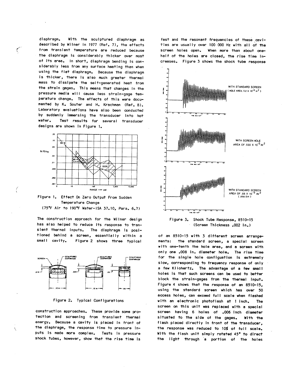diaphragm. With the sculptured diaphragm as described by Wilner in 1977 (Ref. 7), the effects from transient temperature are reduced because the diaphragm is considerably thicker over most of its area. In short, diaphragm bending is considerably less from any surface heating than when using the flat diaphragm. Because the diaphragm is thicker, there is also much greater thermal mass to dissipate the self-generated heat from the strain gages. This means that changes in the pressure media will cause less strain-gage temperature change. The effects of this were documented by K. Souter and H. Krachman (Ref. 8). Laboratory evaluations have also been conducted by suddenly immersing the transducer into hot water. Test results for several transducer designs are shown in Figure 1.

 $\ell$ 





The construction approach for the Wilner design has also helped to reduce its response to transient thermal inputs. The diaphragm is positioned behind a screen, essentially within a small cavity. Figure 2 shows three typical





construction approaches. These provide some protection and screening from transient thermal energy. Because a cavity is placed in front of the diaphragm, the response time to pressure inputs is made more complex. Tests in pressure shock tubes, however, show that the rise time is

fast and the resonant frequencies of these cavities are usually over 100 000 Hz with all of the screen holes open. When more than about onehalf of the holes are closed, the rise time increases. Figure 3 shows the shock tube response



Figure 3. Shock Tube Response, 8510-15 (Screen Thickness .002 in.)

of an 8510-15 with 3 different screen arrangements: the standard screen, a special screen with one-tenth the hole area, and a screen with only one .008 in. diameter hole. The rise time for the single hole configuation is extremely slow, corresponding to frequency response of only a few Kilohertz. The advantage of a few small holes is that such screens can be used to better block the strain-gages from the thermal input. Figure 4 shows that the response of an 8510-15, using the standard screen which has over 50 access holes, can exceed full scale when flashed with an electronic photoflash at 1 inch. The screen on this unit was replaced with a special screen having 6 holes of .006 inch diameter situated to the side of the gages. With the flash placed directly in front of the transducer, the response was reduced to 10% of full scale. With the flash unit simply rotated 45° to direct the light through a portion of the holes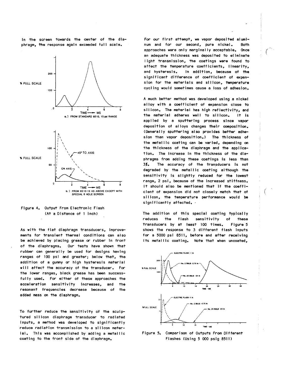in the screen towards the center of the diaphragm, the response again exceeded full scale.



## Figure 4. Output From Electronic Flash (At a Distance of 1 inch)

As with the flat diaphragm transducers, improvements for transient thermal conditions can also be achieved by placing grease or rubber in front of the diaphragms. Our tests have shown that rubber can generally be used for designs having ranges of 100 psi and greater; below that, the addition of a gummy or high hysteresis material will affect the accuracy of the transducer. For the lower ranges, black grease has been successfully used. For either of these approaches the acceleration sensitivity increases, and the resonant frequencies decrease because of the added mass on the diaphragm.

To further reduce the sensitivity of the sculptured silicon diaphragm transducer to radiated inputs, a method was developed to significantly reduce radiation transmission to a silicon material. This was accomplished by adding a metallic coating to the front side of the diaphragm.

For our first attempt, we vapor deposited aluminum and for our second, pure nickel. **Both** approaches were only marginally acceptable. Once an adequate thickness was deposited to eliminate light transmission, the coatings were found to affect the temperature coefficients, linearity, and hysteresis. In addition, because of the significant difference of coefficient of expansion for the materials and silicon, temperature cycling would sometimes cause a loss of adhesion.

A much better method was developed using a nickel alloy with a coefficient of expansion close to silicon. The material has high reflectivity, and the material adheres well to silicon. It is applied by a sputtering process since vapor deposition of alloys changes their composition. (Generally sputtering also provides better adhesion than vapor deposition.) The thickness of the metallic coating can be varied, depending on the thickness of the diaphragm and the application. The increase in the thickness of the diaphragms from adding these coatings is less than The accuracy of the transducers is not 3%. degraded by the metallic coating although the sensitivity is slightly reduced for the lowest range, 2 psi, because of the increased stiffness. It should also be mentioned that if the coefficient of expansion did not closely match that of silicon, the temperature performance would be significantly affected. -

The addition of this special coating typically reduces the flash sensitivity  $\mathbf{A}$ these transducers by at least 100 times. Figure 5 shows the response to 3 different flash inputs for a 5000 psi 8511, before and after receiving its metallic coating. Note that when uncoated,



Figure 5. Comparison of Outputs From Different Flashes (Using 5 000 psig 8511)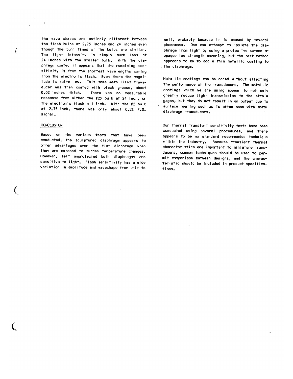the wave shapes are entirely different between the flash bulbs at 2.75 inches and 24 inches even though the burn times of the bulbs are similar. The light intensity is simply much less at 24 inches with the smaller bulb. With the diaphragm coated it appears that the remaining sensitivity is from the shortest wavelengths coming from the electronic flash. Even there the magnitude is quite low. This same metallized transducer was then coated with black grease, about 0.02 inches thick. There was no measurable response from either the #25 bulb at 24 inch. or the electronic flash a 1 inch. With the #2 bulb at 2.75 inch, there was only about 0.2% F.S. signal.

#### **CONCLUSION**

f

Based on the various tests that have been conducted, the sculptured diaphragm appears to offer advantages over the flat diaphragm when they are exposed to sudden temperature changes. However, left unprotected both diaphragms are sensitive to light. Flash sensitivity has a wide variation in amplitude and waveshape from unit to

unit, probably because it is caused by several phenomena. One can attempt to isolate the diaphragm from light by using a protective screen or opaque low strength covering, but the best method apprears to be to add a thin metallic coating to the diaphragm.

Metallic coatings can be added without affecting the performance of the transducers. The metallic coatings which we are using appear to not only greatly reduce light transmission to the strain gages, but they do not result in an output due to surface heating such as is often seen with metal diaphragm transducers.

Our thermal transient sensitivity tests have been conducted using several procedures, and there appears to be no standard recommended technique within the industry. Because transient thermal characteristics are important to miniature transducers, common techniques should be used to permit comparison between designs, and the characteristic should be included in product specifications.